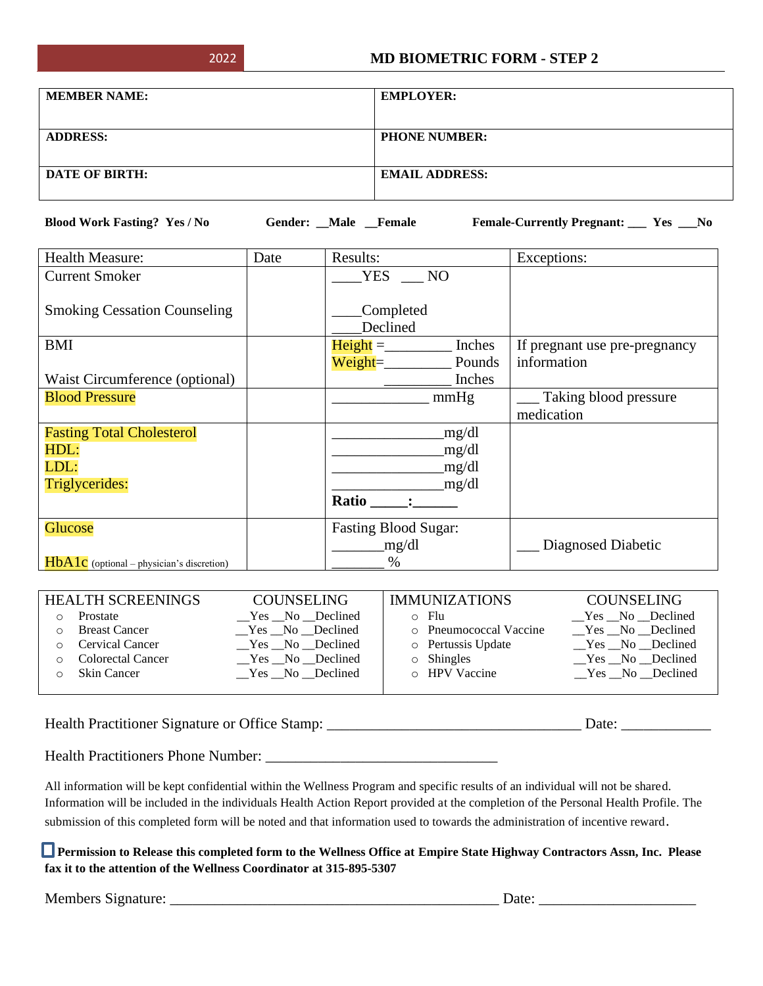| <b>MEMBER NAME:</b>   | <b>EMPLOYER:</b>      |
|-----------------------|-----------------------|
|                       |                       |
| <b>ADDRESS:</b>       | <b>PHONE NUMBER:</b>  |
|                       |                       |
| <b>DATE OF BIRTH:</b> | <b>EMAIL ADDRESS:</b> |
|                       |                       |

**Blood Work Fasting? Yes / No Gender: \_\_Male \_\_Female Female-Currently Pregnant: \_\_\_ Yes \_\_\_No**

| <b>Health Measure:</b>                      | Date | Results:                    | Exceptions:                   |  |
|---------------------------------------------|------|-----------------------------|-------------------------------|--|
| <b>Current Smoker</b>                       |      | <b>YES</b><br>NO            |                               |  |
| <b>Smoking Cessation Counseling</b>         |      | Completed<br>Declined       |                               |  |
| BMI                                         |      | $Height =$<br>Inches        | If pregnant use pre-pregnancy |  |
|                                             |      | $Weight =$<br>Pounds        | information                   |  |
| Waist Circumference (optional)              |      | Inches                      |                               |  |
| <b>Blood Pressure</b>                       |      | mmHg                        | Taking blood pressure         |  |
|                                             |      |                             | medication                    |  |
| <b>Fasting Total Cholesterol</b>            |      | mg/dl                       |                               |  |
| HDL:                                        |      | mg/dl                       |                               |  |
| LDL:                                        |      | _mg/dl                      |                               |  |
| Triglycerides:                              |      | mg/dl                       |                               |  |
|                                             |      | Ratio                       |                               |  |
| Glucose                                     |      | <b>Fasting Blood Sugar:</b> |                               |  |
|                                             |      | mg/dl                       | Diagnosed Diabetic            |  |
| $HbA1c$ (optional – physician's discretion) |      | $\%$                        |                               |  |

| <b>HEALTH SCREENINGS</b> | <b>COUNSELING</b> | <b>IMMUNIZATIONS</b>   | <b>COUNSELING</b> |
|--------------------------|-------------------|------------------------|-------------------|
| Prostate                 | $Yes$ No Declined | $\circ$ Flu            | Yes No Declined   |
| <b>Breast Cancer</b>     | Yes No Declined   | o Pneumococcal Vaccine | Yes No Declined   |
| <b>Cervical Cancer</b>   | $Yes$ No Declined | o Pertussis Update     | Yes No Declined   |
| <b>Colorectal Cancer</b> | Yes No Declined   | $\circ$ Shingles       | Yes No Declined   |
| <b>Skin Cancer</b>       | Yes No Declined   | $\circ$ HPV Vaccine    | $Yes$ No Declined |
|                          |                   |                        |                   |

Health Practitioner Signature or Office Stamp: \_\_\_\_\_\_\_\_\_\_\_\_\_\_\_\_\_\_\_\_\_\_\_\_\_\_\_\_\_\_\_\_\_\_ Date: \_\_\_\_\_\_\_\_\_\_\_\_

Health Practitioners Phone Number: \_\_\_\_\_\_\_\_\_\_\_\_\_\_\_\_\_\_\_\_\_\_\_\_\_\_\_\_\_\_\_

All information will be kept confidential within the Wellness Program and specific results of an individual will not be shared. Information will be included in the individuals Health Action Report provided at the completion of the Personal Health Profile. The submission of this completed form will be noted and that information used to towards the administration of incentive reward.

 **Permission to Release this completed form to the Wellness Office at Empire State Highway Contractors Assn, Inc. Please fax it to the attention of the Wellness Coordinator at 315-895-5307** 

Members Signature: \_\_\_\_\_\_\_\_\_\_\_\_\_\_\_\_\_\_\_\_\_\_\_\_\_\_\_\_\_\_\_\_\_\_\_\_\_\_\_\_\_\_\_\_ Date: \_\_\_\_\_\_\_\_\_\_\_\_\_\_\_\_\_\_\_\_\_